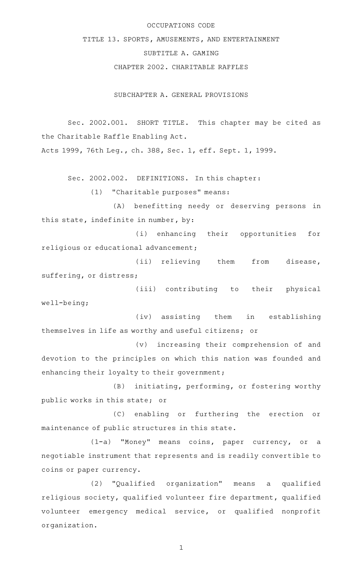## OCCUPATIONS CODE

TITLE 13. SPORTS, AMUSEMENTS, AND ENTERTAINMENT

## SUBTITLE A. GAMING

CHAPTER 2002. CHARITABLE RAFFLES

SUBCHAPTER A. GENERAL PROVISIONS

Sec. 2002.001. SHORT TITLE. This chapter may be cited as the Charitable Raffle Enabling Act.

Acts 1999, 76th Leg., ch. 388, Sec. 1, eff. Sept. 1, 1999.

Sec. 2002.002. DEFINITIONS. In this chapter:

 $(1)$  "Charitable purposes" means:

(A) benefitting needy or deserving persons in this state, indefinite in number, by:

(i) enhancing their opportunities for religious or educational advancement;

(ii) relieving them from disease, suffering, or distress;

(iii) contributing to their physical well-being;

(iv) assisting them in establishing themselves in life as worthy and useful citizens; or

(v) increasing their comprehension of and devotion to the principles on which this nation was founded and enhancing their loyalty to their government;

(B) initiating, performing, or fostering worthy public works in this state; or

(C) enabling or furthering the erection or maintenance of public structures in this state.

(1-a) "Money" means coins, paper currency, or a negotiable instrument that represents and is readily convertible to coins or paper currency.

(2) "Qualified organization" means a qualified religious society, qualified volunteer fire department, qualified volunteer emergency medical service, or qualified nonprofit organization.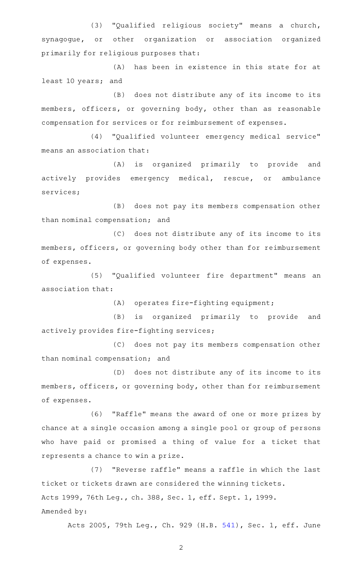(3) "Qualified religious society" means a church, synagogue, or other organization or association organized primarily for religious purposes that:

(A) has been in existence in this state for at least 10 years; and

(B) does not distribute any of its income to its members, officers, or governing body, other than as reasonable compensation for services or for reimbursement of expenses.

(4) "Qualified volunteer emergency medical service" means an association that:

(A) is organized primarily to provide and actively provides emergency medical, rescue, or ambulance services;

(B) does not pay its members compensation other than nominal compensation; and

(C) does not distribute any of its income to its members, officers, or governing body other than for reimbursement of expenses.

(5) "Qualified volunteer fire department" means an association that:

 $(A)$  operates fire-fighting equipment;

(B) is organized primarily to provide and actively provides fire-fighting services;

(C) does not pay its members compensation other than nominal compensation; and

(D) does not distribute any of its income to its members, officers, or governing body, other than for reimbursement of expenses.

(6) "Raffle" means the award of one or more prizes by chance at a single occasion among a single pool or group of persons who have paid or promised a thing of value for a ticket that represents a chance to win a prize.

(7) "Reverse raffle" means a raffle in which the last ticket or tickets drawn are considered the winning tickets. Acts 1999, 76th Leg., ch. 388, Sec. 1, eff. Sept. 1, 1999. Amended by:

Acts 2005, 79th Leg., Ch. 929 (H.B. [541\)](http://www.legis.state.tx.us/tlodocs/79R/billtext/html/HB00541F.HTM), Sec. 1, eff. June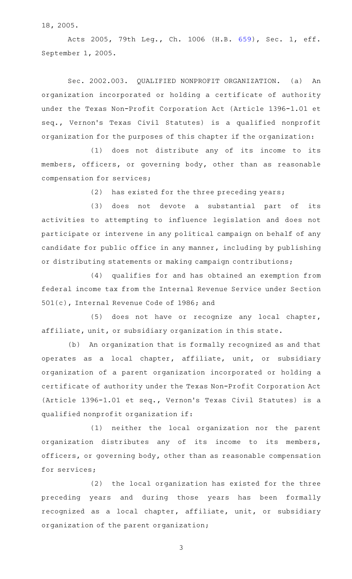18, 2005.

Acts 2005, 79th Leg., Ch. 1006 (H.B. [659](http://www.legis.state.tx.us/tlodocs/79R/billtext/html/HB00659F.HTM)), Sec. 1, eff. September 1, 2005.

Sec. 2002.003. QUALIFIED NONPROFIT ORGANIZATION. (a) An organization incorporated or holding a certificate of authority under the Texas Non-Profit Corporation Act (Article 1396-1.01 et seq., Vernon 's Texas Civil Statutes) is a qualified nonprofit organization for the purposes of this chapter if the organization:

(1) does not distribute any of its income to its members, officers, or governing body, other than as reasonable compensation for services;

 $(2)$  has existed for the three preceding years;

(3) does not devote a substantial part of its activities to attempting to influence legislation and does not participate or intervene in any political campaign on behalf of any candidate for public office in any manner, including by publishing or distributing statements or making campaign contributions;

(4) qualifies for and has obtained an exemption from federal income tax from the Internal Revenue Service under Section 501(c), Internal Revenue Code of 1986; and

 $(5)$  does not have or recognize any local chapter, affiliate, unit, or subsidiary organization in this state.

(b) An organization that is formally recognized as and that operates as a local chapter, affiliate, unit, or subsidiary organization of a parent organization incorporated or holding a certificate of authority under the Texas Non-Profit Corporation Act (Article 1396-1.01 et seq., Vernon 's Texas Civil Statutes) is a qualified nonprofit organization if:

(1) neither the local organization nor the parent organization distributes any of its income to its members, officers, or governing body, other than as reasonable compensation for services;

 $(2)$  the local organization has existed for the three preceding years and during those years has been formally recognized as a local chapter, affiliate, unit, or subsidiary organization of the parent organization;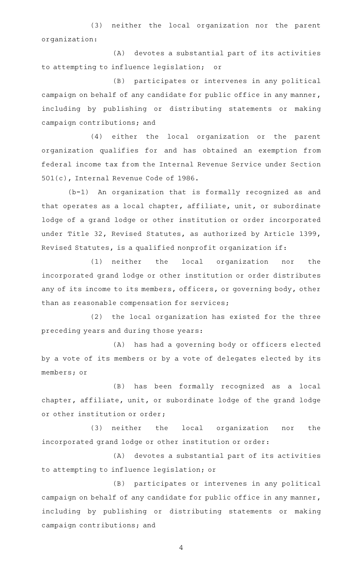(3) neither the local organization nor the parent organization:

(A) devotes a substantial part of its activities to attempting to influence legislation; or

(B) participates or intervenes in any political campaign on behalf of any candidate for public office in any manner, including by publishing or distributing statements or making campaign contributions; and

(4) either the local organization or the parent organization qualifies for and has obtained an exemption from federal income tax from the Internal Revenue Service under Section 501(c), Internal Revenue Code of 1986.

(b-1) An organization that is formally recognized as and that operates as a local chapter, affiliate, unit, or subordinate lodge of a grand lodge or other institution or order incorporated under Title 32, Revised Statutes, as authorized by Article 1399, Revised Statutes, is a qualified nonprofit organization if:

(1) neither the local organization nor the incorporated grand lodge or other institution or order distributes any of its income to its members, officers, or governing body, other than as reasonable compensation for services;

(2) the local organization has existed for the three preceding years and during those years:

(A) has had a governing body or officers elected by a vote of its members or by a vote of delegates elected by its members; or

(B) has been formally recognized as a local chapter, affiliate, unit, or subordinate lodge of the grand lodge or other institution or order;

(3) neither the local organization nor the incorporated grand lodge or other institution or order:

(A) devotes a substantial part of its activities to attempting to influence legislation; or

(B) participates or intervenes in any political campaign on behalf of any candidate for public office in any manner, including by publishing or distributing statements or making campaign contributions; and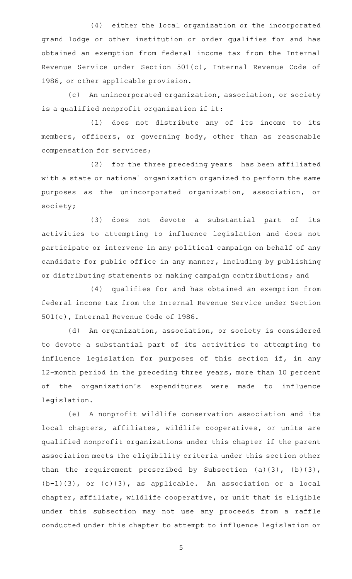(4) either the local organization or the incorporated grand lodge or other institution or order qualifies for and has obtained an exemption from federal income tax from the Internal Revenue Service under Section 501(c), Internal Revenue Code of 1986, or other applicable provision.

(c) An unincorporated organization, association, or society is a qualified nonprofit organization if it:

(1) does not distribute any of its income to its members, officers, or governing body, other than as reasonable compensation for services;

(2) for the three preceding years has been affiliated with a state or national organization organized to perform the same purposes as the unincorporated organization, association, or society;

(3) does not devote a substantial part of its activities to attempting to influence legislation and does not participate or intervene in any political campaign on behalf of any candidate for public office in any manner, including by publishing or distributing statements or making campaign contributions; and

(4) qualifies for and has obtained an exemption from federal income tax from the Internal Revenue Service under Section 501(c), Internal Revenue Code of 1986.

(d) An organization, association, or society is considered to devote a substantial part of its activities to attempting to influence legislation for purposes of this section if, in any 12-month period in the preceding three years, more than 10 percent of the organization 's expenditures were made to influence legislation.

(e) A nonprofit wildlife conservation association and its local chapters, affiliates, wildlife cooperatives, or units are qualified nonprofit organizations under this chapter if the parent association meets the eligibility criteria under this section other than the requirement prescribed by Subsection (a)(3), (b)(3),  $(b-1)(3)$ , or  $(c)(3)$ , as applicable. An association or a local chapter, affiliate, wildlife cooperative, or unit that is eligible under this subsection may not use any proceeds from a raffle conducted under this chapter to attempt to influence legislation or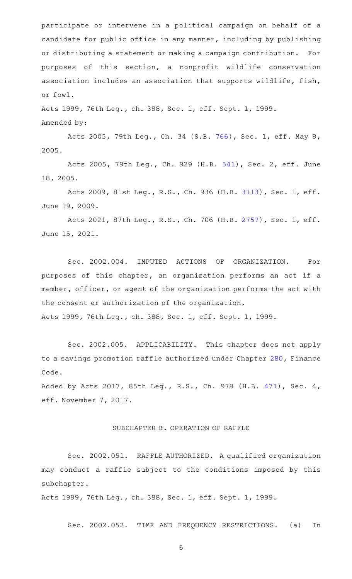participate or intervene in a political campaign on behalf of a candidate for public office in any manner, including by publishing or distributing a statement or making a campaign contribution. For purposes of this section, a nonprofit wildlife conservation association includes an association that supports wildlife, fish, or fowl.

Acts 1999, 76th Leg., ch. 388, Sec. 1, eff. Sept. 1, 1999. Amended by:

Acts 2005, 79th Leg., Ch. 34 (S.B. [766](http://www.legis.state.tx.us/tlodocs/79R/billtext/html/SB00766F.HTM)), Sec. 1, eff. May 9, 2005.

Acts 2005, 79th Leg., Ch. 929 (H.B. [541\)](http://www.legis.state.tx.us/tlodocs/79R/billtext/html/HB00541F.HTM), Sec. 2, eff. June 18, 2005.

Acts 2009, 81st Leg., R.S., Ch. 936 (H.B. [3113](http://www.legis.state.tx.us/tlodocs/81R/billtext/html/HB03113F.HTM)), Sec. 1, eff. June 19, 2009.

Acts 2021, 87th Leg., R.S., Ch. 706 (H.B. [2757](http://www.legis.state.tx.us/tlodocs/87R/billtext/html/HB02757F.HTM)), Sec. 1, eff. June 15, 2021.

Sec. 2002.004. IMPUTED ACTIONS OF ORGANIZATION. For purposes of this chapter, an organization performs an act if a member, officer, or agent of the organization performs the act with the consent or authorization of the organization.

Acts 1999, 76th Leg., ch. 388, Sec. 1, eff. Sept. 1, 1999.

Sec. 2002.005. APPLICABILITY. This chapter does not apply to a savings promotion raffle authorized under Chapter [280](http://www.statutes.legis.state.tx.us/GetStatute.aspx?Code=FI&Value=280), Finance Code.

Added by Acts 2017, 85th Leg., R.S., Ch. 978 (H.B. [471](http://www.legis.state.tx.us/tlodocs/85R/billtext/html/HB00471F.HTM)), Sec. 4, eff. November 7, 2017.

## SUBCHAPTER B. OPERATION OF RAFFLE

Sec. 2002.051. RAFFLE AUTHORIZED. A qualified organization may conduct a raffle subject to the conditions imposed by this subchapter.

Acts 1999, 76th Leg., ch. 388, Sec. 1, eff. Sept. 1, 1999.

Sec. 2002.052. TIME AND FREQUENCY RESTRICTIONS. (a) In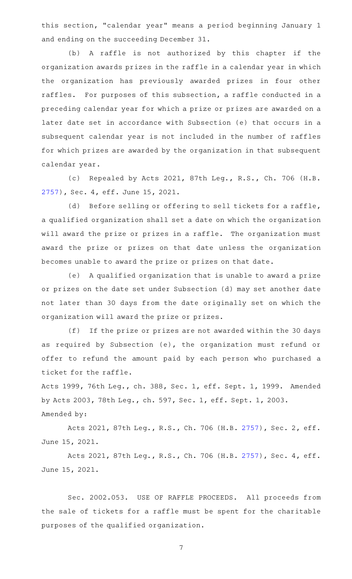this section, "calendar year" means a period beginning January 1 and ending on the succeeding December 31.

(b) A raffle is not authorized by this chapter if the organization awards prizes in the raffle in a calendar year in which the organization has previously awarded prizes in four other raffles. For purposes of this subsection, a raffle conducted in a preceding calendar year for which a prize or prizes are awarded on a later date set in accordance with Subsection (e) that occurs in a subsequent calendar year is not included in the number of raffles for which prizes are awarded by the organization in that subsequent calendar year.

(c) Repealed by Acts 2021, 87th Leg., R.S., Ch. 706 (H.B. [2757](http://www.legis.state.tx.us/tlodocs/87R/billtext/html/HB02757F.HTM)), Sec. 4, eff. June 15, 2021.

(d) Before selling or offering to sell tickets for a raffle, a qualified organization shall set a date on which the organization will award the prize or prizes in a raffle. The organization must award the prize or prizes on that date unless the organization becomes unable to award the prize or prizes on that date.

(e) A qualified organization that is unable to award a prize or prizes on the date set under Subsection (d) may set another date not later than 30 days from the date originally set on which the organization will award the prize or prizes.

(f) If the prize or prizes are not awarded within the 30 days as required by Subsection (e), the organization must refund or offer to refund the amount paid by each person who purchased a ticket for the raffle.

Acts 1999, 76th Leg., ch. 388, Sec. 1, eff. Sept. 1, 1999. Amended by Acts 2003, 78th Leg., ch. 597, Sec. 1, eff. Sept. 1, 2003. Amended by:

Acts 2021, 87th Leg., R.S., Ch. 706 (H.B. [2757](http://www.legis.state.tx.us/tlodocs/87R/billtext/html/HB02757F.HTM)), Sec. 2, eff. June 15, 2021.

Acts 2021, 87th Leg., R.S., Ch. 706 (H.B. [2757](http://www.legis.state.tx.us/tlodocs/87R/billtext/html/HB02757F.HTM)), Sec. 4, eff. June 15, 2021.

Sec. 2002.053. USE OF RAFFLE PROCEEDS. All proceeds from the sale of tickets for a raffle must be spent for the charitable purposes of the qualified organization.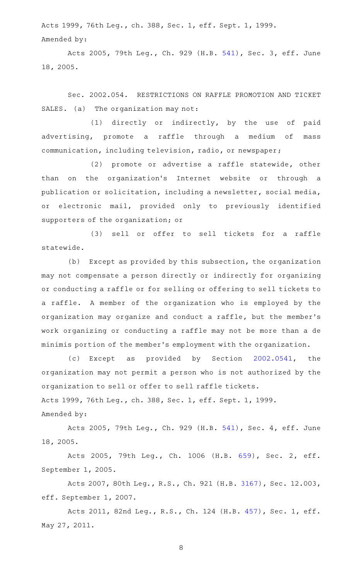Acts 1999, 76th Leg., ch. 388, Sec. 1, eff. Sept. 1, 1999. Amended by:

Acts 2005, 79th Leg., Ch. 929 (H.B. [541\)](http://www.legis.state.tx.us/tlodocs/79R/billtext/html/HB00541F.HTM), Sec. 3, eff. June 18, 2005.

Sec. 2002.054. RESTRICTIONS ON RAFFLE PROMOTION AND TICKET SALES. (a) The organization may not:

(1) directly or indirectly, by the use of paid advertising, promote a raffle through a medium of mass communication, including television, radio, or newspaper;

(2) promote or advertise a raffle statewide, other than on the organization's Internet website or through a publication or solicitation, including a newsletter, social media, or electronic mail, provided only to previously identified supporters of the organization; or

(3) sell or offer to sell tickets for a raffle statewide.

(b) Except as provided by this subsection, the organization may not compensate a person directly or indirectly for organizing or conducting a raffle or for selling or offering to sell tickets to a raffle. A member of the organization who is employed by the organization may organize and conduct a raffle, but the member 's work organizing or conducting a raffle may not be more than a de minimis portion of the member 's employment with the organization.

(c) Except as provided by Section [2002.0541](http://www.statutes.legis.state.tx.us/GetStatute.aspx?Code=OC&Value=2002.0541), the organization may not permit a person who is not authorized by the organization to sell or offer to sell raffle tickets. Acts 1999, 76th Leg., ch. 388, Sec. 1, eff. Sept. 1, 1999.

Amended by:

Acts 2005, 79th Leg., Ch. 929 (H.B. [541\)](http://www.legis.state.tx.us/tlodocs/79R/billtext/html/HB00541F.HTM), Sec. 4, eff. June 18, 2005.

Acts 2005, 79th Leg., Ch. 1006 (H.B. [659](http://www.legis.state.tx.us/tlodocs/79R/billtext/html/HB00659F.HTM)), Sec. 2, eff. September 1, 2005.

Acts 2007, 80th Leg., R.S., Ch. 921 (H.B. [3167\)](http://www.legis.state.tx.us/tlodocs/80R/billtext/html/HB03167F.HTM), Sec. 12.003, eff. September 1, 2007.

Acts 2011, 82nd Leg., R.S., Ch. 124 (H.B. [457](http://www.legis.state.tx.us/tlodocs/82R/billtext/html/HB00457F.HTM)), Sec. 1, eff. May 27, 2011.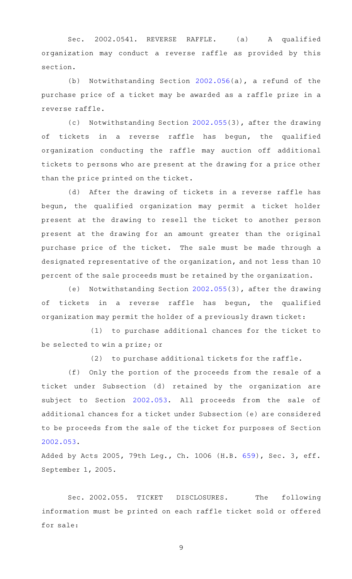Sec. 2002.0541. REVERSE RAFFLE. (a) A qualified organization may conduct a reverse raffle as provided by this section.

(b) Notwithstanding Section [2002.056](http://www.statutes.legis.state.tx.us/GetStatute.aspx?Code=OC&Value=2002.056)(a), a refund of the purchase price of a ticket may be awarded as a raffle prize in a reverse raffle.

(c) Notwithstanding Section [2002.055\(](http://www.statutes.legis.state.tx.us/GetStatute.aspx?Code=OC&Value=2002.055)3), after the drawing of tickets in a reverse raffle has begun, the qualified organization conducting the raffle may auction off additional tickets to persons who are present at the drawing for a price other than the price printed on the ticket.

(d) After the drawing of tickets in a reverse raffle has begun, the qualified organization may permit a ticket holder present at the drawing to resell the ticket to another person present at the drawing for an amount greater than the original purchase price of the ticket. The sale must be made through a designated representative of the organization, and not less than 10 percent of the sale proceeds must be retained by the organization.

(e) Notwithstanding Section  $2002.055(3)$  $2002.055(3)$ , after the drawing of tickets in a reverse raffle has begun, the qualified organization may permit the holder of a previously drawn ticket:

(1) to purchase additional chances for the ticket to be selected to win a prize; or

 $(2)$  to purchase additional tickets for the raffle.

(f) Only the portion of the proceeds from the resale of a ticket under Subsection (d) retained by the organization are subject to Section [2002.053](http://www.statutes.legis.state.tx.us/GetStatute.aspx?Code=OC&Value=2002.053). All proceeds from the sale of additional chances for a ticket under Subsection (e) are considered to be proceeds from the sale of the ticket for purposes of Section [2002.053](http://www.statutes.legis.state.tx.us/GetStatute.aspx?Code=OC&Value=2002.053).

Added by Acts 2005, 79th Leg., Ch. 1006 (H.B. [659](http://www.legis.state.tx.us/tlodocs/79R/billtext/html/HB00659F.HTM)), Sec. 3, eff. September 1, 2005.

Sec. 2002.055. TICKET DISCLOSURES. The following information must be printed on each raffle ticket sold or offered for sale: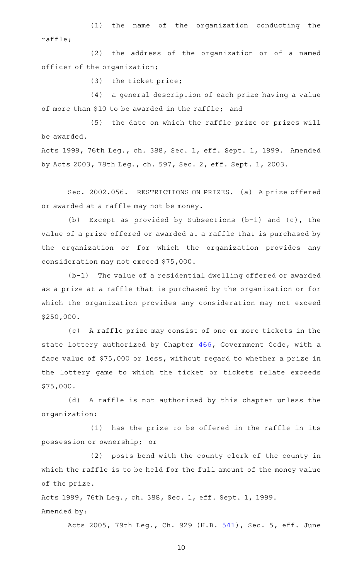(1) the name of the organization conducting the raffle;

(2) the address of the organization or of a named officer of the organization;

 $(3)$  the ticket price;

(4) a general description of each prize having a value of more than \$10 to be awarded in the raffle; and

(5) the date on which the raffle prize or prizes will be awarded.

Acts 1999, 76th Leg., ch. 388, Sec. 1, eff. Sept. 1, 1999. Amended by Acts 2003, 78th Leg., ch. 597, Sec. 2, eff. Sept. 1, 2003.

Sec. 2002.056. RESTRICTIONS ON PRIZES. (a) A prize offered or awarded at a raffle may not be money.

(b) Except as provided by Subsections  $(b-1)$  and  $(c)$ , the value of a prize offered or awarded at a raffle that is purchased by the organization or for which the organization provides any consideration may not exceed \$75,000.

 $(b-1)$  The value of a residential dwelling offered or awarded as a prize at a raffle that is purchased by the organization or for which the organization provides any consideration may not exceed \$250,000.

(c) A raffle prize may consist of one or more tickets in the state lottery authorized by Chapter [466](http://www.statutes.legis.state.tx.us/GetStatute.aspx?Code=GV&Value=466), Government Code, with a face value of \$75,000 or less, without regard to whether a prize in the lottery game to which the ticket or tickets relate exceeds \$75,000.

(d) A raffle is not authorized by this chapter unless the organization:

 $(1)$  has the prize to be offered in the raffle in its possession or ownership; or

(2) posts bond with the county clerk of the county in which the raffle is to be held for the full amount of the money value of the prize.

Acts 1999, 76th Leg., ch. 388, Sec. 1, eff. Sept. 1, 1999. Amended by:

Acts 2005, 79th Leg., Ch. 929 (H.B. [541\)](http://www.legis.state.tx.us/tlodocs/79R/billtext/html/HB00541F.HTM), Sec. 5, eff. June